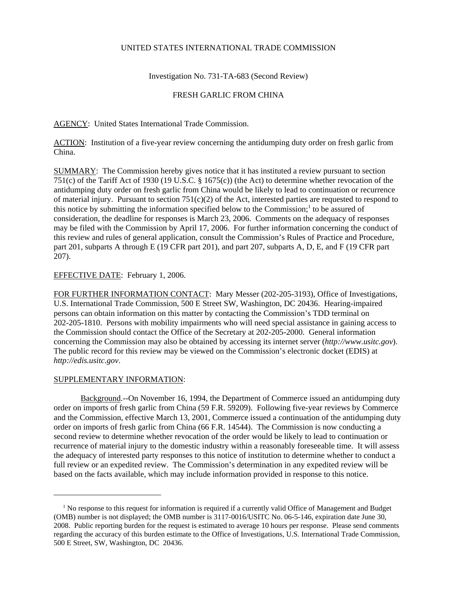## UNITED STATES INTERNATIONAL TRADE COMMISSION

Investigation No. 731-TA-683 (Second Review)

## FRESH GARLIC FROM CHINA

AGENCY: United States International Trade Commission.

ACTION: Institution of a five-year review concerning the antidumping duty order on fresh garlic from China.

SUMMARY: The Commission hereby gives notice that it has instituted a review pursuant to section 751(c) of the Tariff Act of 1930 (19 U.S.C. § 1675(c)) (the Act) to determine whether revocation of the antidumping duty order on fresh garlic from China would be likely to lead to continuation or recurrence of material injury. Pursuant to section  $751(c)(2)$  of the Act, interested parties are requested to respond to this notice by submitting the information specified below to the Commission;<sup>1</sup> to be assured of consideration, the deadline for responses is March 23, 2006. Comments on the adequacy of responses may be filed with the Commission by April 17, 2006. For further information concerning the conduct of this review and rules of general application, consult the Commission's Rules of Practice and Procedure, part 201, subparts A through E (19 CFR part 201), and part 207, subparts A, D, E, and F (19 CFR part 207).

## EFFECTIVE DATE: February 1, 2006.

FOR FURTHER INFORMATION CONTACT: Mary Messer (202-205-3193), Office of Investigations, U.S. International Trade Commission, 500 E Street SW, Washington, DC 20436. Hearing-impaired persons can obtain information on this matter by contacting the Commission's TDD terminal on 202-205-1810. Persons with mobility impairments who will need special assistance in gaining access to the Commission should contact the Office of the Secretary at 202-205-2000. General information concerning the Commission may also be obtained by accessing its internet server (*http://www.usitc.gov*). The public record for this review may be viewed on the Commission's electronic docket (EDIS) at *http://edis.usitc.gov*.

## SUPPLEMENTARY INFORMATION:

Background.--On November 16, 1994, the Department of Commerce issued an antidumping duty order on imports of fresh garlic from China (59 F.R. 59209). Following five-year reviews by Commerce and the Commission, effective March 13, 2001, Commerce issued a continuation of the antidumping duty order on imports of fresh garlic from China (66 F.R. 14544). The Commission is now conducting a second review to determine whether revocation of the order would be likely to lead to continuation or recurrence of material injury to the domestic industry within a reasonably foreseeable time. It will assess the adequacy of interested party responses to this notice of institution to determine whether to conduct a full review or an expedited review. The Commission's determination in any expedited review will be based on the facts available, which may include information provided in response to this notice.

<sup>&</sup>lt;sup>1</sup> No response to this request for information is required if a currently valid Office of Management and Budget (OMB) number is not displayed; the OMB number is 3117-0016/USITC No. 06-5-146, expiration date June 30, 2008. Public reporting burden for the request is estimated to average 10 hours per response. Please send comments regarding the accuracy of this burden estimate to the Office of Investigations, U.S. International Trade Commission, 500 E Street, SW, Washington, DC 20436.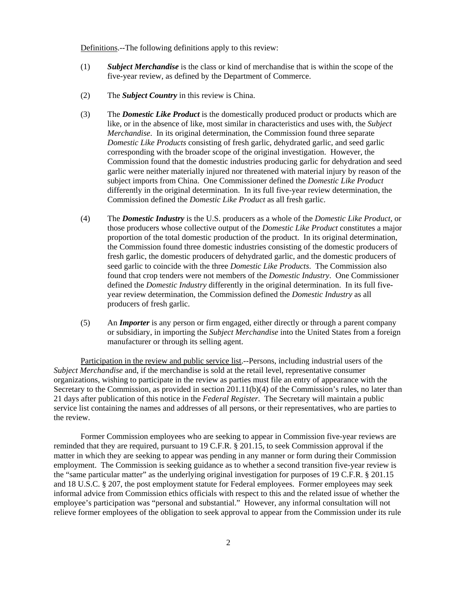Definitions.--The following definitions apply to this review:

- (1) *Subject Merchandise* is the class or kind of merchandise that is within the scope of the five-year review, as defined by the Department of Commerce.
- (2) The *Subject Country* in this review is China.
- (3) The *Domestic Like Product* is the domestically produced product or products which are like, or in the absence of like, most similar in characteristics and uses with, the *Subject Merchandise*. In its original determination, the Commission found three separate *Domestic Like Products* consisting of fresh garlic, dehydrated garlic, and seed garlic corresponding with the broader scope of the original investigation. However, the Commission found that the domestic industries producing garlic for dehydration and seed garlic were neither materially injured nor threatened with material injury by reason of the subject imports from China. One Commissioner defined the *Domestic Like Product* differently in the original determination. In its full five-year review determination, the Commission defined the *Domestic Like Product* as all fresh garlic.
- (4) The *Domestic Industry* is the U.S. producers as a whole of the *Domestic Like Product*, or those producers whose collective output of the *Domestic Like Product* constitutes a major proportion of the total domestic production of the product. In its original determination, the Commission found three domestic industries consisting of the domestic producers of fresh garlic, the domestic producers of dehydrated garlic, and the domestic producers of seed garlic to coincide with the three *Domestic Like Products*. The Commission also found that crop tenders were not members of the *Domestic Industry*. One Commissioner defined the *Domestic Industry* differently in the original determination. In its full fiveyear review determination, the Commission defined the *Domestic Industry* as all producers of fresh garlic.
- (5) An *Importer* is any person or firm engaged, either directly or through a parent company or subsidiary, in importing the *Subject Merchandise* into the United States from a foreign manufacturer or through its selling agent.

Participation in the review and public service list.--Persons, including industrial users of the *Subject Merchandise* and, if the merchandise is sold at the retail level, representative consumer organizations, wishing to participate in the review as parties must file an entry of appearance with the Secretary to the Commission, as provided in section 201.11(b)(4) of the Commission's rules, no later than 21 days after publication of this notice in the *Federal Register*. The Secretary will maintain a public service list containing the names and addresses of all persons, or their representatives, who are parties to the review.

Former Commission employees who are seeking to appear in Commission five-year reviews are reminded that they are required, pursuant to 19 C.F.R. § 201.15, to seek Commission approval if the matter in which they are seeking to appear was pending in any manner or form during their Commission employment. The Commission is seeking guidance as to whether a second transition five-year review is the "same particular matter" as the underlying original investigation for purposes of 19 C.F.R. § 201.15 and 18 U.S.C. § 207, the post employment statute for Federal employees. Former employees may seek informal advice from Commission ethics officials with respect to this and the related issue of whether the employee's participation was "personal and substantial." However, any informal consultation will not relieve former employees of the obligation to seek approval to appear from the Commission under its rule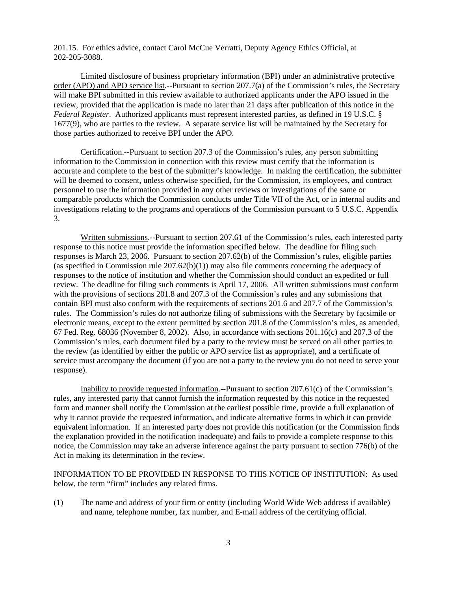201.15. For ethics advice, contact Carol McCue Verratti, Deputy Agency Ethics Official, at 202-205-3088.

Limited disclosure of business proprietary information (BPI) under an administrative protective order (APO) and APO service list.--Pursuant to section 207.7(a) of the Commission's rules, the Secretary will make BPI submitted in this review available to authorized applicants under the APO issued in the review, provided that the application is made no later than 21 days after publication of this notice in the *Federal Register*. Authorized applicants must represent interested parties, as defined in 19 U.S.C. § 1677(9), who are parties to the review. A separate service list will be maintained by the Secretary for those parties authorized to receive BPI under the APO.

Certification.--Pursuant to section 207.3 of the Commission's rules, any person submitting information to the Commission in connection with this review must certify that the information is accurate and complete to the best of the submitter's knowledge. In making the certification, the submitter will be deemed to consent, unless otherwise specified, for the Commission, its employees, and contract personnel to use the information provided in any other reviews or investigations of the same or comparable products which the Commission conducts under Title VII of the Act, or in internal audits and investigations relating to the programs and operations of the Commission pursuant to 5 U.S.C. Appendix 3.

Written submissions.--Pursuant to section 207.61 of the Commission's rules, each interested party response to this notice must provide the information specified below. The deadline for filing such responses is March 23, 2006. Pursuant to section 207.62(b) of the Commission's rules, eligible parties (as specified in Commission rule  $207.62(b)(1)$ ) may also file comments concerning the adequacy of responses to the notice of institution and whether the Commission should conduct an expedited or full review. The deadline for filing such comments is April 17, 2006. All written submissions must conform with the provisions of sections 201.8 and 207.3 of the Commission's rules and any submissions that contain BPI must also conform with the requirements of sections 201.6 and 207.7 of the Commission's rules. The Commission's rules do not authorize filing of submissions with the Secretary by facsimile or electronic means, except to the extent permitted by section 201.8 of the Commission's rules, as amended, 67 Fed. Reg. 68036 (November 8, 2002). Also, in accordance with sections 201.16(c) and 207.3 of the Commission's rules, each document filed by a party to the review must be served on all other parties to the review (as identified by either the public or APO service list as appropriate), and a certificate of service must accompany the document (if you are not a party to the review you do not need to serve your response).

Inability to provide requested information.--Pursuant to section 207.61(c) of the Commission's rules, any interested party that cannot furnish the information requested by this notice in the requested form and manner shall notify the Commission at the earliest possible time, provide a full explanation of why it cannot provide the requested information, and indicate alternative forms in which it can provide equivalent information. If an interested party does not provide this notification (or the Commission finds the explanation provided in the notification inadequate) and fails to provide a complete response to this notice, the Commission may take an adverse inference against the party pursuant to section 776(b) of the Act in making its determination in the review.

INFORMATION TO BE PROVIDED IN RESPONSE TO THIS NOTICE OF INSTITUTION: As used below, the term "firm" includes any related firms.

(1) The name and address of your firm or entity (including World Wide Web address if available) and name, telephone number, fax number, and E-mail address of the certifying official.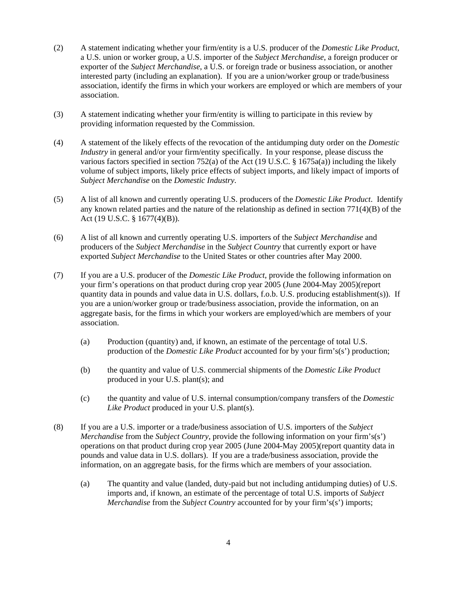- (2) A statement indicating whether your firm/entity is a U.S. producer of the *Domestic Like Product*, a U.S. union or worker group, a U.S. importer of the *Subject Merchandise*, a foreign producer or exporter of the *Subject Merchandise*, a U.S. or foreign trade or business association, or another interested party (including an explanation). If you are a union/worker group or trade/business association, identify the firms in which your workers are employed or which are members of your association.
- (3) A statement indicating whether your firm/entity is willing to participate in this review by providing information requested by the Commission.
- (4) A statement of the likely effects of the revocation of the antidumping duty order on the *Domestic Industry* in general and/or your firm/entity specifically. In your response, please discuss the various factors specified in section 752(a) of the Act (19 U.S.C. § 1675a(a)) including the likely volume of subject imports, likely price effects of subject imports, and likely impact of imports of *Subject Merchandise* on the *Domestic Industry*.
- (5) A list of all known and currently operating U.S. producers of the *Domestic Like Product*. Identify any known related parties and the nature of the relationship as defined in section 771(4)(B) of the Act (19 U.S.C. § 1677(4)(B)).
- (6) A list of all known and currently operating U.S. importers of the *Subject Merchandise* and producers of the *Subject Merchandise* in the *Subject Country* that currently export or have exported *Subject Merchandise* to the United States or other countries after May 2000.
- (7) If you are a U.S. producer of the *Domestic Like Product*, provide the following information on your firm's operations on that product during crop year 2005 (June 2004-May 2005)(report quantity data in pounds and value data in U.S. dollars, f.o.b. U.S. producing establishment(s)). If you are a union/worker group or trade/business association, provide the information, on an aggregate basis, for the firms in which your workers are employed/which are members of your association.
	- (a) Production (quantity) and, if known, an estimate of the percentage of total U.S. production of the *Domestic Like Product* accounted for by your firm's(s') production;
	- (b) the quantity and value of U.S. commercial shipments of the *Domestic Like Product* produced in your U.S. plant(s); and
	- (c) the quantity and value of U.S. internal consumption/company transfers of the *Domestic Like Product* produced in your U.S. plant(s).
- (8) If you are a U.S. importer or a trade/business association of U.S. importers of the *Subject Merchandise* from the *Subject Country*, provide the following information on your firm's(s') operations on that product during crop year 2005 (June 2004-May 2005)(report quantity data in pounds and value data in U.S. dollars). If you are a trade/business association, provide the information, on an aggregate basis, for the firms which are members of your association.
	- (a) The quantity and value (landed, duty-paid but not including antidumping duties) of U.S. imports and, if known, an estimate of the percentage of total U.S. imports of *Subject Merchandise* from the *Subject Country* accounted for by your firm's(s') imports;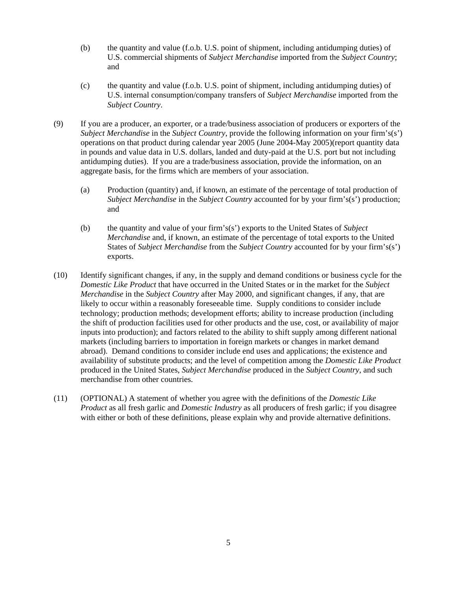- (b) the quantity and value (f.o.b. U.S. point of shipment, including antidumping duties) of U.S. commercial shipments of *Subject Merchandise* imported from the *Subject Country*; and
- (c) the quantity and value (f.o.b. U.S. point of shipment, including antidumping duties) of U.S. internal consumption/company transfers of *Subject Merchandise* imported from the *Subject Country*.
- (9) If you are a producer, an exporter, or a trade/business association of producers or exporters of the *Subject Merchandise* in the *Subject Country*, provide the following information on your firm's(s') operations on that product during calendar year 2005 (June 2004-May 2005)(report quantity data in pounds and value data in U.S. dollars, landed and duty-paid at the U.S. port but not including antidumping duties). If you are a trade/business association, provide the information, on an aggregate basis, for the firms which are members of your association.
	- (a) Production (quantity) and, if known, an estimate of the percentage of total production of *Subject Merchandise* in the *Subject Country* accounted for by your firm's(s') production; and
	- (b) the quantity and value of your firm's(s') exports to the United States of *Subject Merchandise* and, if known, an estimate of the percentage of total exports to the United States of *Subject Merchandise* from the *Subject Country* accounted for by your firm's(s') exports.
- (10) Identify significant changes, if any, in the supply and demand conditions or business cycle for the *Domestic Like Product* that have occurred in the United States or in the market for the *Subject Merchandise* in the *Subject Country* after May 2000, and significant changes, if any, that are likely to occur within a reasonably foreseeable time. Supply conditions to consider include technology; production methods; development efforts; ability to increase production (including the shift of production facilities used for other products and the use, cost, or availability of major inputs into production); and factors related to the ability to shift supply among different national markets (including barriers to importation in foreign markets or changes in market demand abroad). Demand conditions to consider include end uses and applications; the existence and availability of substitute products; and the level of competition among the *Domestic Like Product* produced in the United States, *Subject Merchandise* produced in the *Subject Country*, and such merchandise from other countries.
- (11) (OPTIONAL) A statement of whether you agree with the definitions of the *Domestic Like Product* as all fresh garlic and *Domestic Industry* as all producers of fresh garlic; if you disagree with either or both of these definitions, please explain why and provide alternative definitions.